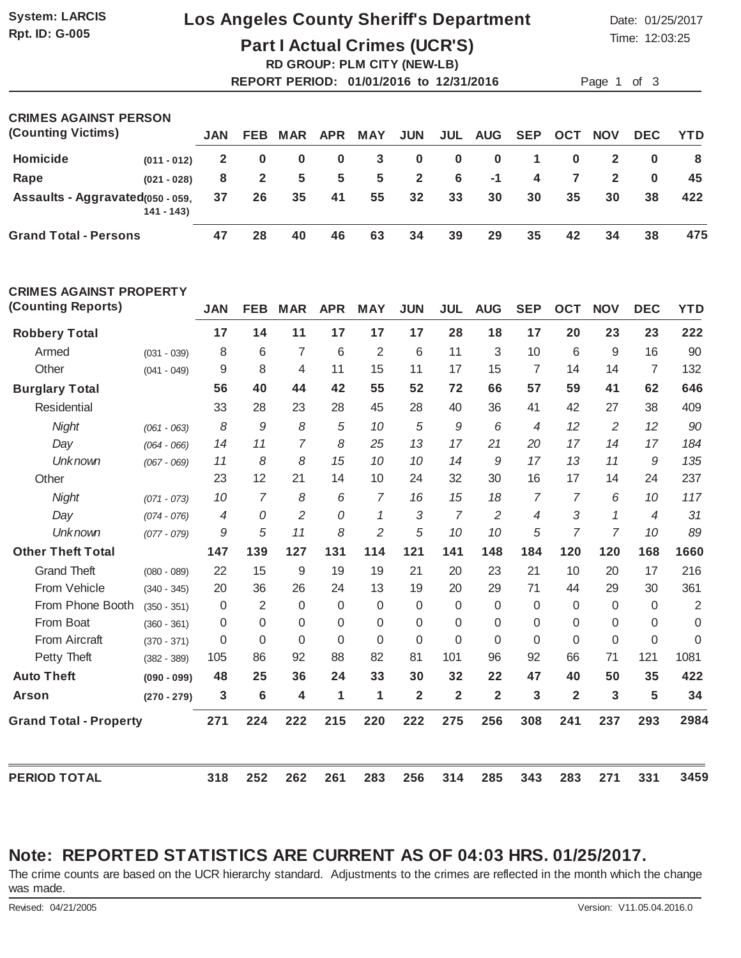# **Rpt. ID: G-005**

## **System: LARCIS Los Angeles County Sheriff's Department** Date: 01/25/2017

Time: 12:03:25

**Part I Actual Crimes (UCR'S)**

|                       | <b>RD GROUP: PLM CITY (NEW-LB)</b>      |             |
|-----------------------|-----------------------------------------|-------------|
|                       | REPORT PERIOD: 01/01/2016 to 12/31/2016 | Page 1 of 3 |
|                       |                                         |             |
| COIMER ACAINST DEDRON |                                         |             |

| <b>UNIVES AUAINST FERSUN</b>      |               |              |              |          |             |            |                 |          |                |             |              |                         |            |            |
|-----------------------------------|---------------|--------------|--------------|----------|-------------|------------|-----------------|----------|----------------|-------------|--------------|-------------------------|------------|------------|
| (Counting Victims)                |               | <b>JAN</b>   | <b>FEB</b>   | MAR      | APR         | <b>MAY</b> | <b>JUN</b>      |          | <b>JUL AUG</b> | SEP         | OCT          | <b>NOV</b>              | <b>DEC</b> | <b>YTD</b> |
| Homicide                          | $(011 - 012)$ | $\mathbf{2}$ | $\bf{0}$     | $\bf{0}$ | 0           | 3          | $\mathbf{0}$    | $\bf{0}$ | - 0            | $\mathbf 1$ | $\mathbf{0}$ | $\overline{\mathbf{2}}$ |            | -8         |
| Rape                              | $(021 - 028)$ | 8            | $\mathbf{2}$ | -5       | $5^{\circ}$ | 5          | $\mathbf{2}$    | 6        | $-1$           | 4           | <b>7</b>     | $\mathbf{2}$            | $\bf{0}$   | 45         |
| Assaults - Aggravated (050 - 059, | $141 - 143$   | 37           | 26           | 35       | 41          | 55         | $32\phantom{a}$ | 33       | 30             | 30          | 35           | 30                      | 38         | 422        |
| <b>Grand Total - Persons</b>      |               | 47           | 28           | 40       | 46          | 63         | 34              | 39       | 29             | 35          | 42           | 34                      | 38         | 475        |

| <b>CRIMES AGAINST PROPERTY</b> |               |                |                |                |                |                |                         |                |                |                |                |                |            |                |
|--------------------------------|---------------|----------------|----------------|----------------|----------------|----------------|-------------------------|----------------|----------------|----------------|----------------|----------------|------------|----------------|
| (Counting Reports)             |               | <b>JAN</b>     | <b>FEB</b>     | <b>MAR</b>     | <b>APR</b>     | <b>MAY</b>     | <b>JUN</b>              | <b>JUL</b>     | <b>AUG</b>     | <b>SEP</b>     | <b>OCT</b>     | <b>NOV</b>     | <b>DEC</b> | <b>YTD</b>     |
| <b>Robbery Total</b>           |               | 17             | 14             | 11             | 17             | 17             | 17                      | 28             | 18             | 17             | 20             | 23             | 23         | 222            |
| Armed                          | $(031 - 039)$ | 8              | 6              | $\overline{7}$ | 6              | 2              | 6                       | 11             | 3              | 10             | 6              | 9              | 16         | 90             |
| Other                          | $(041 - 049)$ | 9              | 8              | 4              | 11             | 15             | 11                      | 17             | 15             | $\overline{7}$ | 14             | 14             | 7          | 132            |
| <b>Burglary Total</b>          |               | 56             | 40             | 44             | 42             | 55             | 52                      | 72             | 66             | 57             | 59             | 41             | 62         | 646            |
| Residential                    |               | 33             | 28             | 23             | 28             | 45             | 28                      | 40             | 36             | 41             | 42             | 27             | 38         | 409            |
| Night                          | $(061 - 063)$ | 8              | 9              | 8              | 5              | 10             | 5                       | 9              | 6              | $\overline{4}$ | 12             | $\overline{2}$ | 12         | 90             |
| Day                            | $(064 - 066)$ | 14             | 11             | $\overline{7}$ | 8              | 25             | 13                      | 17             | 21             | 20             | 17             | 14             | 17         | 184            |
| <b>Unknown</b>                 | $(067 - 069)$ | 11             | 8              | 8              | 15             | 10             | 10                      | 14             | 9              | 17             | 13             | 11             | 9          | 135            |
| Other                          |               | 23             | 12             | 21             | 14             | 10             | 24                      | 32             | 30             | 16             | 17             | 14             | 24         | 237            |
| Night                          | $(071 - 073)$ | 10             | 7              | 8              | 6              | $\overline{7}$ | 16                      | 15             | 18             | 7              | $\overline{7}$ | 6              | 10         | 117            |
| Day                            | $(074 - 076)$ | $\overline{4}$ | 0              | $\overline{2}$ | $\overline{O}$ | 1              | 3                       | $\overline{7}$ | $\overline{2}$ | $\overline{4}$ | 3              | 1              | 4          | 31             |
| <b>Unknown</b>                 | $(077 - 079)$ | 9              | 5              | 11             | 8              | $\overline{c}$ | 5                       | 10             | 10             | 5              | 7              | $\overline{7}$ | 10         | 89             |
| <b>Other Theft Total</b>       |               | 147            | 139            | 127            | 131            | 114            | 121                     | 141            | 148            | 184            | 120            | 120            | 168        | 1660           |
| <b>Grand Theft</b>             | $(080 - 089)$ | 22             | 15             | 9              | 19             | 19             | 21                      | 20             | 23             | 21             | 10             | 20             | 17         | 216            |
| From Vehicle                   | $(340 - 345)$ | 20             | 36             | 26             | 24             | 13             | 19                      | 20             | 29             | 71             | 44             | 29             | 30         | 361            |
| From Phone Booth               | $(350 - 351)$ | $\overline{0}$ | 2              | $\Omega$       | $\Omega$       | $\Omega$       | $\Omega$                | 0              | 0              | 0              | $\Omega$       | $\Omega$       | $\Omega$   | $\overline{2}$ |
| From Boat                      | $(360 - 361)$ | 0              | 0              | $\Omega$       | $\Omega$       | $\Omega$       | 0                       | 0              | 0              | $\Omega$       | 0              | 0              | $\Omega$   | $\Omega$       |
| From Aircraft                  | $(370 - 371)$ | 0              | 0              | $\Omega$       | $\Omega$       | $\Omega$       | $\Omega$                | $\Omega$       | $\mathbf 0$    | 0              | 0              | $\Omega$       | $\Omega$   | $\Omega$       |
| Petty Theft                    | $(382 - 389)$ | 105            | 86             | 92             | 88             | 82             | 81                      | 101            | 96             | 92             | 66             | 71             | 121        | 1081           |
| <b>Auto Theft</b>              | $(090 - 099)$ | 48             | 25             | 36             | 24             | 33             | 30                      | 32             | 22             | 47             | 40             | 50             | 35         | 422            |
| <b>Arson</b>                   | $(270 - 279)$ | 3              | $6\phantom{1}$ | 4              | 1              | 1              | $\overline{\mathbf{2}}$ | $\overline{2}$ | $\overline{2}$ | 3              | $\overline{2}$ | 3              | 5          | 34             |
| <b>Grand Total - Property</b>  |               | 271            | 224            | 222            | 215            | 220            | 222                     | 275            | 256            | 308            | 241            | 237            | 293        | 2984           |
| <b>PERIOD TOTAL</b>            |               | 318            | 252            | 262            | 261            | 283            | 256                     | 314            | 285            | 343            | 283            | 271            | 331        | 3459           |

### **Note: REPORTED STATISTICS ARE CURRENT AS OF 04:03 HRS. 01/25/2017.**

The crime counts are based on the UCR hierarchy standard. Adjustments to the crimes are reflected in the month which the change was made.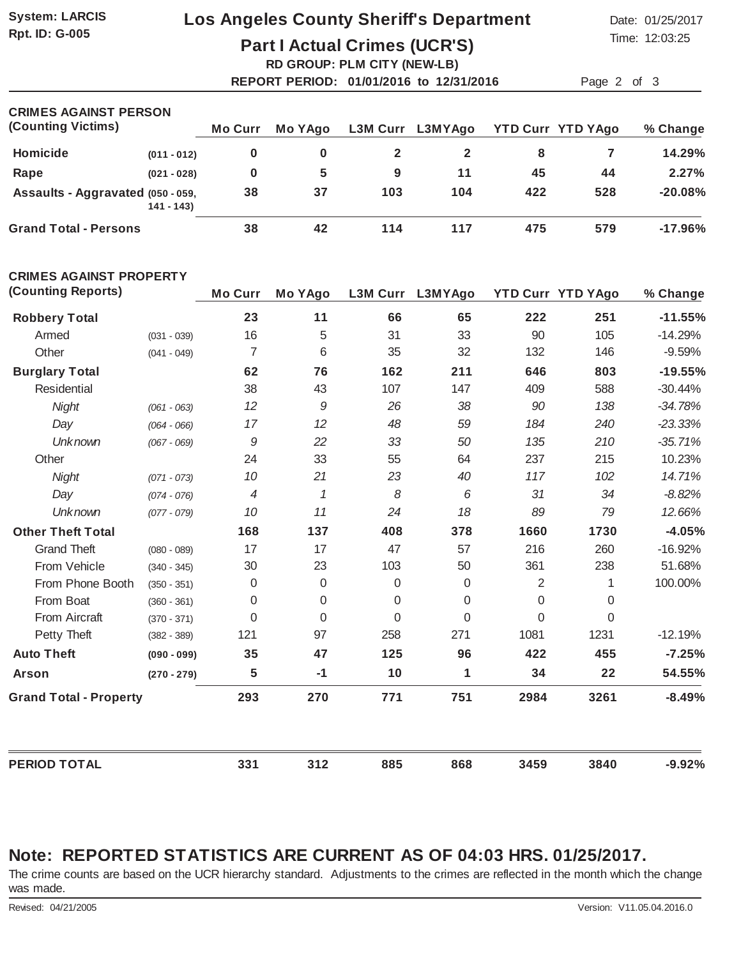**Rpt. ID: G-005**

### **System: LARCIS Los Angeles County Sheriff's Department** Date: 01/25/2017

Time: 12:03:25

**Part I Actual Crimes (UCR'S) RD GROUP: PLM CITY (NEW-LB)**

**REPORT PERIOD: 01/01/2016 to 12/31/2016** Page 2 of 3

| <b>CRIMES AGAINST PERSON</b>      |               |                |         |     |                  |     |                          |           |
|-----------------------------------|---------------|----------------|---------|-----|------------------|-----|--------------------------|-----------|
| (Counting Victims)                |               | <b>Mo Curr</b> | Mo YAgo |     | L3M Curr L3MYAgo |     | <b>YTD Curr YTD YAgo</b> | % Change  |
| Homicide                          | $(011 - 012)$ | 0              | 0       |     |                  | 8   |                          | 14.29%    |
| Rape                              | $(021 - 028)$ | 0              | 5       | 9   | 11               | 45  | 44                       | 2.27%     |
| Assaults - Aggravated (050 - 059, | $141 - 143$   | 38             | 37      | 103 | 104              | 422 | 528                      | $-20.08%$ |
| <b>Grand Total - Persons</b>      |               | 38             | 42      | 114 | 117              | 475 | 579                      | $-17.96%$ |

#### **CRIMES AGAINST PROPERTY**

| (Counting Reports)            |               | <b>Mo Curr</b>           | <b>Mo YAgo</b> | <b>L3M Curr</b> | L3MYAgo  |          | <b>YTD Curr YTD YAgo</b> | % Change  |
|-------------------------------|---------------|--------------------------|----------------|-----------------|----------|----------|--------------------------|-----------|
| <b>Robbery Total</b>          |               | 23                       | 11             | 66              | 65       | 222      | 251                      | $-11.55%$ |
| Armed                         | $(031 - 039)$ | 16                       | 5              | 31              | 33       | 90       | 105                      | $-14.29%$ |
| Other                         | $(041 - 049)$ | $\overline{7}$           | 6              | 35              | 32       | 132      | 146                      | $-9.59%$  |
| <b>Burglary Total</b>         |               | 62                       | 76             | 162             | 211      | 646      | 803                      | $-19.55%$ |
| Residential                   |               | 38                       | 43             | 107             | 147      | 409      | 588                      | $-30.44%$ |
| Night                         | $(061 - 063)$ | 12                       | 9              | 26              | 38       | 90       | 138                      | $-34.78%$ |
| Day                           | $(064 - 066)$ | 17                       | 12             | 48              | 59       | 184      | 240                      | $-23.33%$ |
| <b>Unknown</b>                | $(067 - 069)$ | $\cal{G}$                | 22             | 33              | 50       | 135      | 210                      | $-35.71%$ |
| Other                         |               | 24                       | 33             | 55              | 64       | 237      | 215                      | 10.23%    |
| Night                         | $(071 - 073)$ | 10                       | 21             | 23              | 40       | 117      | 102                      | 14.71%    |
| Day                           | $(074 - 076)$ | $\overline{\mathcal{A}}$ | $\mathcal I$   | 8               | 6        | 31       | 34                       | $-8.82%$  |
| <b>Unknown</b>                | $(077 - 079)$ | 10                       | 11             | 24              | 18       | 89       | 79                       | 12.66%    |
| <b>Other Theft Total</b>      |               | 168                      | 137            | 408             | 378      | 1660     | 1730                     | $-4.05%$  |
| <b>Grand Theft</b>            | $(080 - 089)$ | 17                       | 17             | 47              | 57       | 216      | 260                      | $-16.92%$ |
| From Vehicle                  | $(340 - 345)$ | 30                       | 23             | 103             | 50       | 361      | 238                      | 51.68%    |
| From Phone Booth              | $(350 - 351)$ | $\mathbf 0$              | 0              | 0               | 0        | 2        | 1                        | 100.00%   |
| From Boat                     | $(360 - 361)$ | 0                        | 0              | $\Omega$        | $\Omega$ | $\Omega$ | $\boldsymbol{0}$         |           |
| From Aircraft                 | $(370 - 371)$ | 0                        | 0              | $\Omega$        | $\Omega$ | $\Omega$ | $\overline{0}$           |           |
| Petty Theft                   | $(382 - 389)$ | 121                      | 97             | 258             | 271      | 1081     | 1231                     | $-12.19%$ |
| <b>Auto Theft</b>             | $(090 - 099)$ | 35                       | 47             | 125             | 96       | 422      | 455                      | $-7.25%$  |
| <b>Arson</b>                  | $(270 - 279)$ | 5                        | $-1$           | 10              | 1        | 34       | 22                       | 54.55%    |
| <b>Grand Total - Property</b> |               | 293                      | 270            | 771             | 751      | 2984     | 3261                     | $-8.49%$  |
| <b>PERIOD TOTAL</b>           |               | 331                      | 312            | 885             | 868      | 3459     | 3840                     | $-9.92%$  |

#### **Note: REPORTED STATISTICS ARE CURRENT AS OF 04:03 HRS. 01/25/2017.**

The crime counts are based on the UCR hierarchy standard. Adjustments to the crimes are reflected in the month which the change was made.